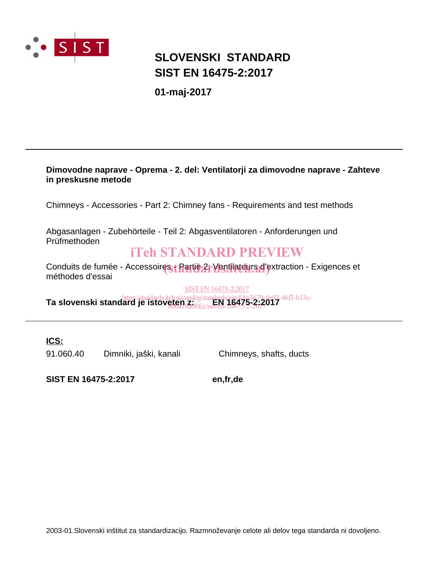

# **SIST EN 16475-2:2017 SLOVENSKI STANDARD**

**01-maj-2017**

## **Dimovodne naprave - Oprema - 2. del: Ventilatorji za dimovodne naprave - Zahteve in preskusne metode**

Chimneys - Accessories - Part 2: Chimney fans - Requirements and test methods

Abgasanlagen - Zubehörteile - Teil 2: Abgasventilatoren - Anforderungen und Prüfmethoden

# iTeh STANDARD PREVIEW

Conduits de fumée - Accessoires + **Partie 2: Ventilateurs d'e**xtraction - Exigences et<br>méthodes d'essoi méthodes d'essai

SIST EN 16475-2:2017

**Ta slovenski standard je istoveten z:** *keh.ai/catalog/standards/sist/fcba3679-6e93-46f3-b13c-*<br>**Ta slovenski standard je istoveten z: ero 16475-2:2017** b00a18a68fcc/sist-en-16475-2-2017

**ICS:**

91.060.40 Dimniki, jaški, kanali Chimneys, shafts, ducts

**SIST EN 16475-2:2017 en,fr,de**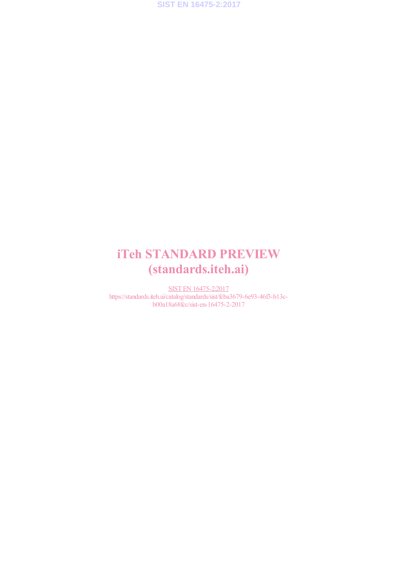

# iTeh STANDARD PREVIEW (standards.iteh.ai)

SIST EN 16475-2:2017 https://standards.iteh.ai/catalog/standards/sist/fcba3679-6e93-46f3-b13cb00a18a68fcc/sist-en-16475-2-2017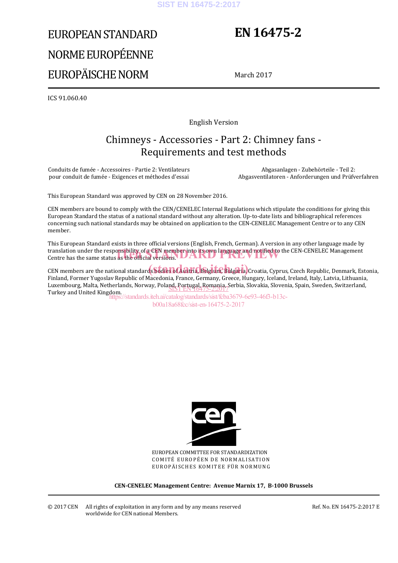#### **SIST EN 16475-2:2017**

# EUROPEAN STANDARD NORME EUROPÉENNE EUROPÄISCHE NORM

# **EN 16475-2**

March 2017

ICS 91.060.40

English Version

# Chimneys - Accessories - Part 2: Chimney fans - Requirements and test methods

Conduits de fumée - Accessoires - Partie 2: Ventilateurs pour conduit de fumée - Exigences et méthodes d'essai

 Abgasanlagen - Zubehörteile - Teil 2: Abgasventilatoren - Anforderungen und Prüfverfahren

This European Standard was approved by CEN on 28 November 2016.

CEN members are bound to comply with the CEN/CENELEC Internal Regulations which stipulate the conditions for giving this European Standard the status of a national standard without any alteration. Up-to-date lists and bibliographical references concerning such national standards may be obtained on application to the CEN-CENELEC Management Centre or to any CEN member.

This European Standard exists in three official versions (English, French, German). A version in any other language made by translation under the responsibility of a CEN member into its own language and notified to the CEN-CENELEC Management<br>Centre has the same status as the official versions. Centre has the same status as the official versions. **UARD** 

CEN members are the national standards bodies of Austria, Belgium, Bulgaria, Croatia, Cyprus, Czech Republic, Denmark, Estonia, Finland, Former Yugoslav Republic of Macedonia, France, Germany, Greece, Hungary, Iceland, Ireland, Italy, Latvia, Lithuania, Luxembourg, Malta, Netherlands, Norway, Poland, Portugal, Romania, Serbia, Slovakia, Slovenia, Spain, Sweden, Switzerland, Luxembourg, Maria, Nemerianus, Norway, Poland, Portugal, Romania, S<br>Turkey and United Kingdom.

https://standards.iteh.ai/catalog/standards/sist/fcba3679-6e93-46f3-b13cb00a18a68fcc/sist-en-16475-2-2017



EUROPEAN COMMITTEE FOR STANDARDIZATION COMITÉ EUROPÉEN DE NORMALISATION EUROPÄISCHES KOMITEE FÜR NORMUNG

**CEN-CENELEC Management Centre: Avenue Marnix 17, B-1000 Brussels** 

Ref. No. EN 16475-2:2017 E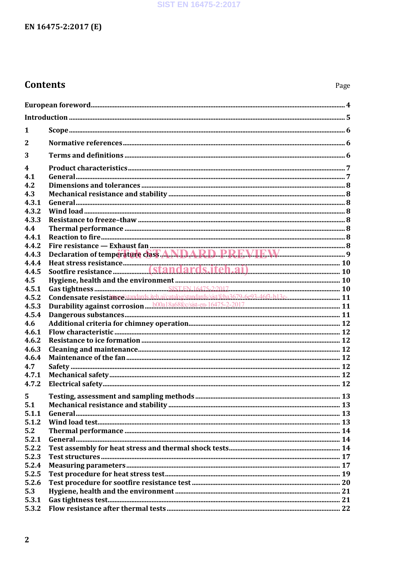### SIST EN 16475-2:2017

# EN 16475-2:2017 (E)

# **Contents**

| 1              |                                                 |  |  |  |  |
|----------------|-------------------------------------------------|--|--|--|--|
| $\overline{2}$ |                                                 |  |  |  |  |
| 3              |                                                 |  |  |  |  |
| 4              |                                                 |  |  |  |  |
| 4.1            |                                                 |  |  |  |  |
| 4.2            |                                                 |  |  |  |  |
| 4.3            |                                                 |  |  |  |  |
| 4.3.1          |                                                 |  |  |  |  |
| 4.3.2          |                                                 |  |  |  |  |
| 4.3.3          |                                                 |  |  |  |  |
| 4.4            |                                                 |  |  |  |  |
| 4.4.1          |                                                 |  |  |  |  |
| 4.4.2          |                                                 |  |  |  |  |
| 4.4.3          | Declaration of temperature class ANDARD PRRVIEW |  |  |  |  |
| 4.4.4          |                                                 |  |  |  |  |
| 4.4.5          |                                                 |  |  |  |  |
| 4.5            |                                                 |  |  |  |  |
| 4.5.1          |                                                 |  |  |  |  |
| 4.5.2          |                                                 |  |  |  |  |
| 4.5.3          |                                                 |  |  |  |  |
| 4.5.4          |                                                 |  |  |  |  |
| 4.6            |                                                 |  |  |  |  |
| 4.6.1          |                                                 |  |  |  |  |
| 4.6.2          |                                                 |  |  |  |  |
| 4.6.3          |                                                 |  |  |  |  |
| 4.6.4          |                                                 |  |  |  |  |
| 4.7            |                                                 |  |  |  |  |
| 4.7.1          |                                                 |  |  |  |  |
| 4.7.2          |                                                 |  |  |  |  |
| 5              |                                                 |  |  |  |  |
| 5.1            |                                                 |  |  |  |  |
| 5.1.1          |                                                 |  |  |  |  |
| 5.1.2          |                                                 |  |  |  |  |
| 5.2            |                                                 |  |  |  |  |
| 5.2.1          |                                                 |  |  |  |  |
| 5.2.2          |                                                 |  |  |  |  |
| 5.2.3          |                                                 |  |  |  |  |
| 5.2.4          |                                                 |  |  |  |  |
| 5.2.5          |                                                 |  |  |  |  |
| 5.2.6          |                                                 |  |  |  |  |
| 5.3            |                                                 |  |  |  |  |
| 5.3.1          |                                                 |  |  |  |  |
| 5.3.2          |                                                 |  |  |  |  |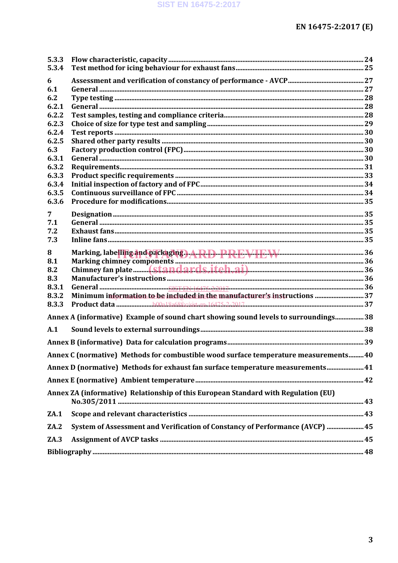| 5.3.3          |                                                                                      |  |
|----------------|--------------------------------------------------------------------------------------|--|
| 5.3.4          |                                                                                      |  |
| 6              |                                                                                      |  |
| 6.1            |                                                                                      |  |
| 6.2            |                                                                                      |  |
| 6.2.1          |                                                                                      |  |
| 6.2.2          |                                                                                      |  |
| 6.2.3          |                                                                                      |  |
| 6.2.4          |                                                                                      |  |
| 6.2.5          |                                                                                      |  |
| 6.3            |                                                                                      |  |
| 6.3.1          |                                                                                      |  |
| 6.3.2          |                                                                                      |  |
| 6.3.3          |                                                                                      |  |
| 6.3.4          |                                                                                      |  |
| 6.3.5          |                                                                                      |  |
| 6.3.6          |                                                                                      |  |
| $\overline{7}$ |                                                                                      |  |
| 7.1            |                                                                                      |  |
| 7.2            |                                                                                      |  |
| 7.3            |                                                                                      |  |
| 8              | Marking, labelling and packaging ) A.R.D. P.R.E.V.I.E.W. Marking, 136                |  |
| 8.1            |                                                                                      |  |
| 8.2            |                                                                                      |  |
| 8.3            |                                                                                      |  |
| 8.3.1          |                                                                                      |  |
| 8.3.2          | Minimum information to be included in the manufacturer's instructions  37            |  |
| 8.3.3          |                                                                                      |  |
|                | Annex A (informative) Example of sound chart showing sound levels to surroundings 38 |  |
|                |                                                                                      |  |
| A.1            |                                                                                      |  |
|                |                                                                                      |  |
|                | Annex C (normative) Methods for combustible wood surface temperature measurements 40 |  |
|                | Annex D (normative) Methods for exhaust fan surface temperature measurements 41      |  |
|                |                                                                                      |  |
|                | Annex ZA (informative) Relationship of this European Standard with Regulation (EU)   |  |
|                |                                                                                      |  |
|                |                                                                                      |  |
| ZA.1           |                                                                                      |  |
| ZA.2           | System of Assessment and Verification of Constancy of Performance (AVCP)  45         |  |
| ZA.3           |                                                                                      |  |
|                |                                                                                      |  |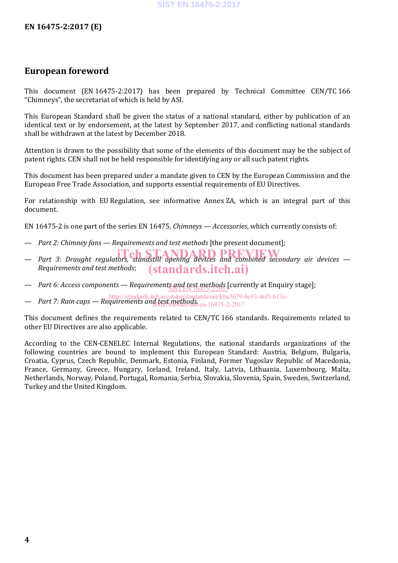# **European foreword**

This document (EN 16475-2:2017) has been prepared by Technical Committee CEN/TC 166 "Chimneys", the secretariat of which is held by ASI.

This European Standard shall be given the status of a national standard, either by publication of an identical text or by endorsement, at the latest by September 2017, and conflicting national standards shall be withdrawn at the latest by December 2018.

Attention is drawn to the possibility that some of the elements of this document may be the subject of patent rights. CEN shall not be held responsible for identifying any or all such patent rights.

This document has been prepared under a mandate given to CEN by the European Commission and the European Free Trade Association, and supports essential requirements of EU Directives.

For relationship with EU Regulation, see informative Annex ZA, which is an integral part of this document.

EN 16475-2 is one part of the series EN 16475, *Chimneys — Accessories*, which currently consists of:

- *Part 2: Chimney fans — Requirements and test methods* [the present document];
- Part 3: Draught regulators, standstill opening devices and combined secondary air devices *Requirements and test methods*; (standards.iteh.ai)
- *Part 6: Access components Requirements and test methods* [currently at Enquiry stage];
- *Part 7: Rain caps — Requirements and test methods*. https://standards.iteh.ai/catalog/standards/sist/fcba3679-6e93-46f3-b13cb00a18a68fcc/sist-en-16475-2-2017

This document defines the requirements related to CEN/TC 166 standards. Requirements related to other EU Directives are also applicable.

According to the CEN-CENELEC Internal Regulations, the national standards organizations of the following countries are bound to implement this European Standard: Austria, Belgium, Bulgaria, Croatia, Cyprus, Czech Republic, Denmark, Estonia, Finland, Former Yugoslav Republic of Macedonia, France, Germany, Greece, Hungary, Iceland, Ireland, Italy, Latvia, Lithuania, Luxembourg, Malta, Netherlands, Norway, Poland, Portugal, Romania, Serbia, Slovakia, Slovenia, Spain, Sweden, Switzerland, Turkey and the United Kingdom.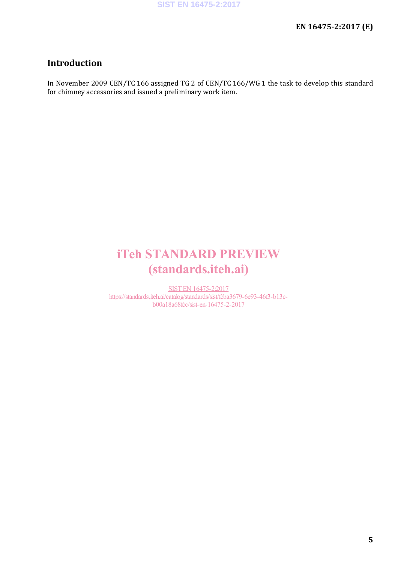# **Introduction**

In November 2009 CEN/TC 166 assigned TG 2 of CEN/TC 166/WG 1 the task to develop this standard for chimney accessories and issued a preliminary work item.

# iTeh STANDARD PREVIEW (standards.iteh.ai)

SIST EN 16475-2:2017 https://standards.iteh.ai/catalog/standards/sist/fcba3679-6e93-46f3-b13cb00a18a68fcc/sist-en-16475-2-2017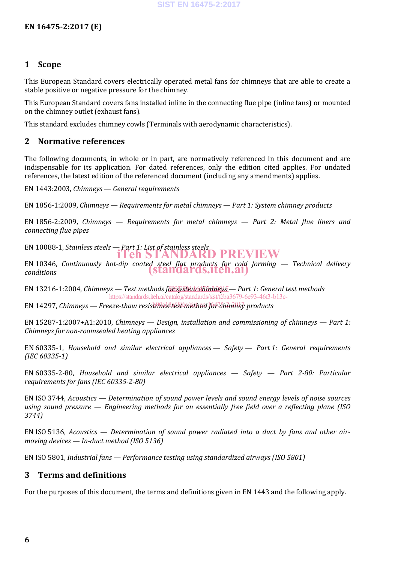### **1 Scope**

This European Standard covers electrically operated metal fans for chimneys that are able to create a stable positive or negative pressure for the chimney.

This European Standard covers fans installed inline in the connecting flue pipe (inline fans) or mounted on the chimney outlet (exhaust fans).

This standard excludes chimney cowls (Terminals with aerodynamic characteristics).

### **2 Normative references**

The following documents, in whole or in part, are normatively referenced in this document and are indispensable for its application. For dated references, only the edition cited applies. For undated references, the latest edition of the referenced document (including any amendments) applies.

EN 1443:2003, *Chimneys — General requirements*

EN 1856-1:2009, *Chimneys — Requirements for metal chimneys — Part 1: System chimney products*

EN 1856-2:2009, *Chimneys — Requirements for metal chimneys — Part 2: Metal flue liners and connecting flue pipes*

EN 10088-1, *Stainless steels — Part 1: List of stainless steels* iTeh STANDARD PREVIEW

EN 10346, *Continuously hot-dip coated steel flat products for cold forming — Technical delivery conditions* (standards.iteh.ai)

EN 13216-1:2004, Chimneys — Test methods för system chimneys — Part 1: General test methods https://standards.iteh.ai/catalog/standards/sist/fcba3679-6e93-46f3-b13c-

EN 14297, Chimneys — *Freeze-thaw resistance test method for ไchimhey products* 

EN 15287-1:2007+A1:2010, *Chimneys — Design, installation and commissioning of chimneys — Part 1: Chimneys for non-roomsealed heating appliances*

EN 60335-1, *Household and similar electrical appliances — Safety — Part 1: General requirements (IEC 60335-1)*

EN 60335-2-80, *Household and similar electrical appliances — Safety — Part 2-80: Particular requirements for fans (IEC 60335-2-80)*

EN ISO 3744, *Acoustics — Determination of sound power levels and sound energy levels of noise sources using sound pressure — Engineering methods for an essentially free field over a reflecting plane (ISO 3744)*

EN ISO 5136, *Acoustics — Determination of sound power radiated into a duct by fans and other airmoving devices — In-duct method (ISO 5136)*

EN ISO 5801, *Industrial fans — Performance testing using standardized airways (ISO 5801)*

## **3 Terms and definitions**

For the purposes of this document, the terms and definitions given in EN 1443 and the following apply.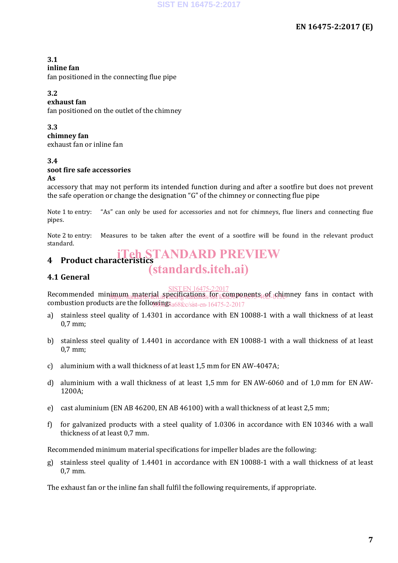### **3.1**

#### **inline fan**

fan positioned in the connecting flue pipe

## **3.2**

#### **exhaust fan**

fan positioned on the outlet of the chimney

#### **3.3**

### **chimney fan**

exhaust fan or inline fan

#### **3.4 soot fire safe accessories**

#### **As**

accessory that may not perform its intended function during and after a sootfire but does not prevent the safe operation or change the designation "G" of the chimney or connecting flue pipe

Note 1 to entry: "As" can only be used for accessories and not for chimneys, flue liners and connecting flue pipes.

Note 2 to entry: Measures to be taken after the event of a sootfire will be found in the relevant product standard.

# **4 Product characteristics** iTeh STANDARD PREVIEW

# (standards.iteh.ai)

## **4.1 General**

## SIST EN 16475-2:2017

Recommended minimum material specifications for components of chimney fans in contact with combustion products are the followings a 68 fcc/sist-en-16475-2-2017 https://standards.iteh.afeadderstandards/sist/fc6a36P9-6e93-4<sub>6</sub>05-6611n<br>https://standards.iteh.afeadderstandards/sist/fc6a36P9-6e93-4<sub>6</sub>05-6630-

- a) stainless steel quality of 1.4301 in accordance with EN 10088-1 with a wall thickness of at least 0,7 mm;
- b) stainless steel quality of 1.4401 in accordance with EN 10088-1 with a wall thickness of at least 0,7 mm;
- c) aluminium with a wall thickness of at least 1,5 mm for EN AW-4047A;
- d) aluminium with a wall thickness of at least 1,5 mm for EN AW-6060 and of 1,0 mm for EN AW-1200A;
- e) cast aluminium (EN AB 46200, EN AB 46100) with a wall thickness of at least 2,5 mm;
- f) for galvanized products with a steel quality of 1.0306 in accordance with EN 10346 with a wall thickness of at least 0,7 mm.

Recommended minimum material specifications for impeller blades are the following:

g) stainless steel quality of 1.4401 in accordance with EN 10088-1 with a wall thickness of at least 0,7 mm.

The exhaust fan or the inline fan shall fulfil the following requirements, if appropriate.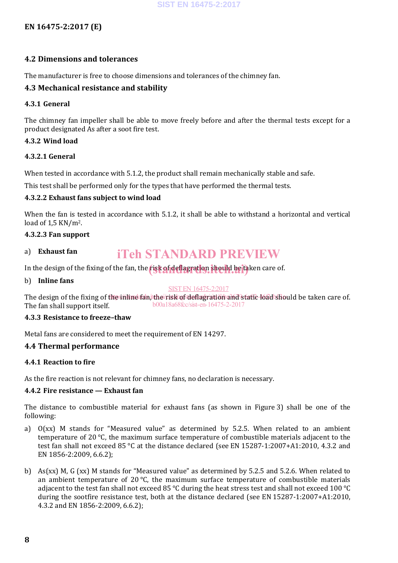## **EN 16475-2:2017 (E)**

#### **4.2 Dimensions and tolerances**

The manufacturer is free to choose dimensions and tolerances of the chimney fan.

#### **4.3 Mechanical resistance and stability**

#### **4.3.1 General**

The chimney fan impeller shall be able to move freely before and after the thermal tests except for a product designated As after a soot fire test.

#### **4.3.2 Wind load**

#### **4.3.2.1 General**

When tested in accordance with 5.1.2, the product shall remain mechanically stable and safe.

This test shall be performed only for the types that have performed the thermal tests.

#### **4.3.2.2 Exhaust fans subject to wind load**

When the fan is tested in accordance with 5.1.2, it shall be able to withstand a horizontal and vertical load of 1,5 KN/m2.

#### **4.3.2.3 Fan support**

# iTeh STANDARD PREVIEW

In the design of the fixing of the fan, the **risk of deflagration should be ta**ken care of.

b) **Inline fans**

a) **Exhaust fan**

#### SIST EN 16475-2:2017

The design of the fixing of the inline fan, the risk of deflagration and static load should be taken care of. The fan shall support itself. b00a18a68fcc/sist-en-16475-2-2017

#### **4.3.3 Resistance to freeze–thaw**

Metal fans are considered to meet the requirement of EN 14297.

#### **4.4 Thermal performance**

#### **4.4.1 Reaction to fire**

As the fire reaction is not relevant for chimney fans, no declaration is necessary.

#### **4.4.2 Fire resistance — Exhaust fan**

The distance to combustible material for exhaust fans (as shown in Figure 3) shall be one of the following:

- a) O(xx) M stands for "Measured value" as determined by 5.2.5. When related to an ambient temperature of 20 °C, the maximum surface temperature of combustible materials adjacent to the test fan shall not exceed 85 °C at the distance declared (see EN 15287-1:2007+A1:2010, 4.3.2 and EN 1856-2:2009, 6.6.2);
- b) As(xx) M, G (xx) M stands for "Measured value" as determined by 5.2.5 and 5.2.6. When related to an ambient temperature of  $20^{\circ}$ C, the maximum surface temperature of combustible materials adjacent to the test fan shall not exceed 85 °C during the heat stress test and shall not exceed 100 °C during the sootfire resistance test, both at the distance declared (see EN 15287-1:2007+A1:2010, 4.3.2 and EN 1856-2:2009, 6.6.2);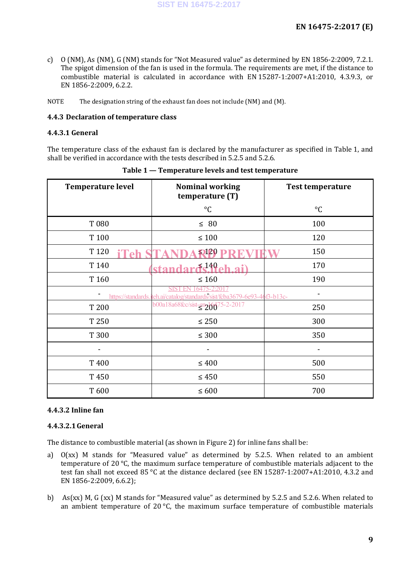- c) O (NM), As (NM), G (NM) stands for "Not Measured value" as determined by EN 1856-2:2009, 7.2.1. The spigot dimension of the fan is used in the formula. The requirements are met, if the distance to combustible material is calculated in accordance with EN 15287-1:2007+A1:2010, 4.3.9.3, or EN 1856-2:2009, 6.2.2.
- NOTE The designation string of the exhaust fan does not include (NM) and  $(M)$ .

#### **4.4.3 Declaration of temperature class**

#### **4.4.3.1 General**

The temperature class of the exhaust fan is declared by the manufacturer as specified in Table 1, and shall be verified in accordance with the tests described in 5.2.5 and 5.2.6.

| <b>Temperature level</b>                                                               | <b>Nominal working</b><br>temperature (T) | <b>Test temperature</b> |  |  |  |
|----------------------------------------------------------------------------------------|-------------------------------------------|-------------------------|--|--|--|
|                                                                                        | $^{\circ}C$                               | $\rm ^{\circ}C$         |  |  |  |
| T 080                                                                                  | $\leq 80$                                 | 100                     |  |  |  |
| T 100                                                                                  | $\leq 100$                                | 120                     |  |  |  |
| T 120                                                                                  | $\mathbf{5}120$                           | 150                     |  |  |  |
| T 140                                                                                  | $449$ eh<br>stand                         | 170                     |  |  |  |
| T 160                                                                                  | $\leq 160$                                | 190                     |  |  |  |
| 6475-2:20<br>https://standards.iteh.ai/catalog/standards/sist/fcba3679-6e93-46f3-b13c- |                                           |                         |  |  |  |
| T 200                                                                                  | b00a18a68fcc/sist-en206075-2-2017         | 250                     |  |  |  |
| T 250                                                                                  | $\leq 250$                                | 300                     |  |  |  |
| T 300                                                                                  | $\leq 300$                                | 350                     |  |  |  |
|                                                                                        |                                           |                         |  |  |  |
| T 400                                                                                  | $\leq 400$                                | 500                     |  |  |  |
| T450                                                                                   | $\leq 450$                                | 550                     |  |  |  |
| T600                                                                                   | $\leq 600$                                | 700                     |  |  |  |

**Table 1 — Temperature levels and test temperature**

#### **4.4.3.2 Inline fan**

#### **4.4.3.2.1General**

The distance to combustible material (as shown in Figure 2) for inline fans shall be:

- a) O(xx) M stands for "Measured value" as determined by 5.2.5. When related to an ambient temperature of 20 °C, the maximum surface temperature of combustible materials adjacent to the test fan shall not exceed 85 °C at the distance declared (see EN 15287-1:2007+A1:2010, 4.3.2 and EN 1856-2:2009, 6.6.2);
- b) As(xx) M, G (xx) M stands for "Measured value" as determined by 5.2.5 and 5.2.6. When related to an ambient temperature of  $20^{\circ}$ C, the maximum surface temperature of combustible materials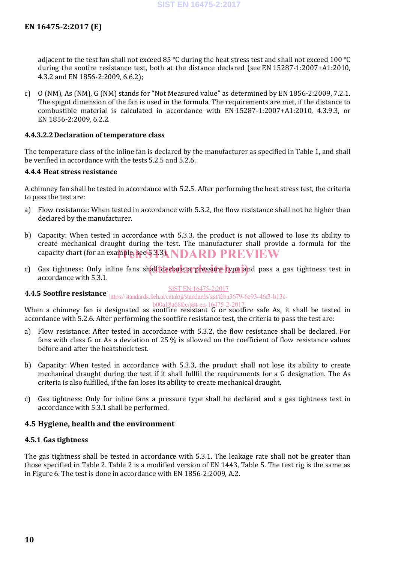adjacent to the test fan shall not exceed 85 °C during the heat stress test and shall not exceed 100 °C during the sootire resistance test, both at the distance declared (see EN 15287-1:2007+A1:2010, 4.3.2 and EN 1856-2:2009, 6.6.2);

c) O (NM), As (NM), G (NM) stands for "Not Measured value" as determined by EN 1856-2:2009, 7.2.1. The spigot dimension of the fan is used in the formula. The requirements are met, if the distance to combustible material is calculated in accordance with EN 15287-1:2007+A1:2010, 4.3.9.3, or EN 1856-2:2009, 6.2.2.

#### **4.4.3.2.2Declaration of temperature class**

The temperature class of the inline fan is declared by the manufacturer as specified in Table 1, and shall be verified in accordance with the tests 5.2.5 and 5.2.6.

#### **4.4.4 Heat stress resistance**

A chimney fan shall be tested in accordance with 5.2.5. After performing the heat stress test, the criteria to pass the test are:

- a) Flow resistance: When tested in accordance with 5.3.2, the flow resistance shall not be higher than declared by the manufacturer.
- b) Capacity: When tested in accordance with 5.3.3, the product is not allowed to lose its ability to create mechanical draught during the test. The manufacturer shall provide a formula for the capacity chart (for an example, see \$333). NDARD PREVIEW
- c) Gas tightness: Only inline fans shall declare a pressure type iand pass a gas tightness test in accordance with 5.3.1.

#### SIST EN 16475-2:2017

**4.4.5 Sootfire resistance** https://standards.iteh.ai/catalog/standards/sist/fcba3679-6e93-46f3-b13c-

# b00a18a68fcc/sist-en-16475-2-2017

When a chimney fan is designated as sootfire resistant G or sootfire safe As, it shall be tested in accordance with 5.2.6. After performing the sootfire resistance test, the criteria to pass the test are:

- a) Flow resistance: After tested in accordance with 5.3.2, the flow resistance shall be declared. For fans with class G or As a deviation of 25 % is allowed on the coefficient of flow resistance values before and after the heatshock test.
- b) Capacity: When tested in accordance with 5.3.3, the product shall not lose its ability to create mechanical draught during the test if it shall fullfil the requirements for a G designation. The As criteria is also fulfilled, if the fan loses its ability to create mechanical draught.
- c) Gas tightness: Only for inline fans a pressure type shall be declared and a gas tightness test in accordance with 5.3.1 shall be performed.

#### **4.5 Hygiene, health and the environment**

#### **4.5.1 Gas tightness**

The gas tightness shall be tested in accordance with 5.3.1. The leakage rate shall not be greater than those specified in Table 2. Table 2 is a modified version of EN 1443, Table 5. The test rig is the same as in Figure 6. The test is done in accordance with EN 1856-2:2009, A.2.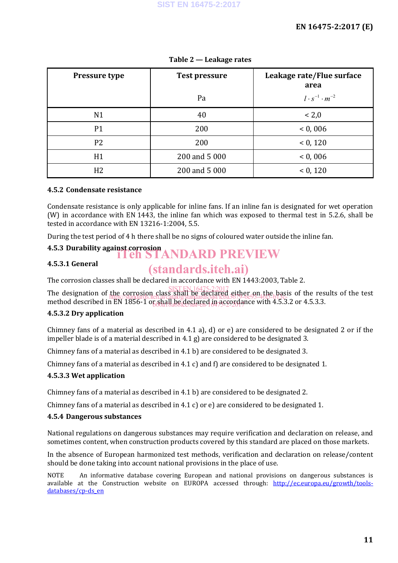| <b>Pressure type</b> | <b>Test pressure</b> | Leakage rate/Flue surface<br>area |
|----------------------|----------------------|-----------------------------------|
|                      | Pa                   | $l \cdot s^{-1} \cdot m^{-2}$     |
| N <sub>1</sub>       | 40                   | < 2,0                             |
| P1                   | 200                  | < 0,006                           |
| P <sub>2</sub>       | 200                  | < 0, 120                          |
| H1                   | 200 and 5 000        | < 0,006                           |
| H <sub>2</sub>       | 200 and 5 000        | < 0, 120                          |

**Table 2 — Leakage rates**

### **4.5.2 Condensate resistance**

Condensate resistance is only applicable for inline fans. If an inline fan is designated for wet operation (W) in accordance with EN 1443, the inline fan which was exposed to thermal test in 5.2.6, shall be tested in accordance with EN 13216-1:2004, 5.5.

During the test period of 4 h there shall be no signs of coloured water outside the inline fan.

# **4.5.3** Durability against corrosion<br> **iTeh STANDARD PREVIEW**

### **4.5.3.1 General**

# (standards.iteh.ai)

The corrosion classes shall be declared in accordance with EN 1443:2003, Table 2.

The designation of the corrosion class shall be declared either on the basis of the results of the test method described in EN 1856-1 or shall be declared in accordance with 4.5.3.2 or 4.5.3.3. SIST EN 16475-2:2017 https://standards.iteh.ai/catalog/standards/sist/fcba3679-6e93-46f3-b13c-

## **4.5.3.2 Dry application**

Chimney fans of a material as described in 4.1 a), d) or e) are considered to be designated 2 or if the impeller blade is of a material described in 4.1 g) are considered to be designated 3.

Chimney fans of a material as described in 4.1 b) are considered to be designated 3.

Chimney fans of a material as described in 4.1 c) and f) are considered to be designated 1.

#### **4.5.3.3 Wet application**

Chimney fans of a material as described in 4.1 b) are considered to be designated 2.

Chimney fans of a material as described in 4.1 c) or e) are considered to be designated 1.

#### **4.5.4 Dangerous substances**

National regulations on dangerous substances may require verification and declaration on release, and sometimes content, when construction products covered by this standard are placed on those markets.

In the absence of European harmonized test methods, verification and declaration on release/content should be done taking into account national provisions in the place of use.

NOTE An informative database covering European and national provisions on dangerous substances is available at the Construction website on EUROPA accessed through: http://ec.europa.eu/growth/toolsdatabases/cp-ds\_en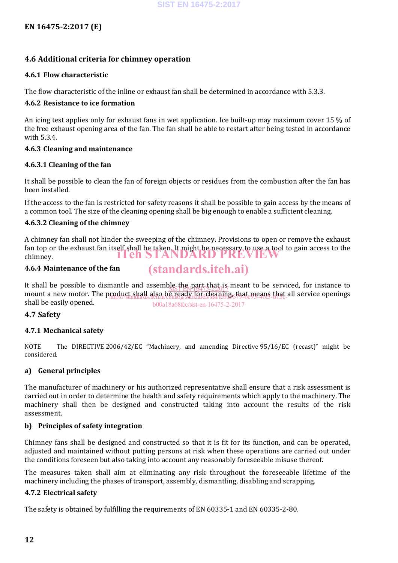### **4.6 Additional criteria for chimney operation**

#### **4.6.1 Flow characteristic**

The flow characteristic of the inline or exhaust fan shall be determined in accordance with 5.3.3.

#### **4.6.2 Resistance to ice formation**

An icing test applies only for exhaust fans in wet application. Ice built-up may maximum cover 15 % of the free exhaust opening area of the fan. The fan shall be able to restart after being tested in accordance with 5.3.4.

#### **4.6.3 Cleaning and maintenance**

#### **4.6.3.1 Cleaning of the fan**

It shall be possible to clean the fan of foreign objects or residues from the combustion after the fan has been installed.

If the access to the fan is restricted for safety reasons it shall be possible to gain access by the means of a common tool. The size of the cleaning opening shall be big enough to enable a sufficient cleaning.

#### **4.6.3.2 Cleaning of the chimney**

A chimney fan shall not hinder the sweeping of the chimney. Provisions to open or remove the exhaust fan top or the exhaust fan itself shall be taken. It might be necessary to use a tool to gain access to the chimney. iTeh STANDARD PREVIEW

(standards.iteh.ai)

#### **4.6.4 Maintenance of the fan**

It shall be possible to dismantle and assemble the part that  $\frac{1}{10475222017}$  meant to be serviced, for instance to mount a new motor. The product shall also be ready for cleaning, that means that all service openings<br>https://standard.iteh.ai/catalogy/standards.iteh.ai/cadiogystandards/sist/fcb3679-6e93-46f3-b13c\_all service openings shall be easily opened. b00a18a68fcc/sist-en-16475-2-2017

#### **4.7 Safety**

#### **4.7.1 Mechanical safety**

NOTE The DIRECTIVE 2006/42/EC "Machinery, and amending Directive 95/16/EC (recast)" might be considered.

#### **a) General principles**

The manufacturer of machinery or his authorized representative shall ensure that a risk assessment is carried out in order to determine the health and safety requirements which apply to the machinery. The machinery shall then be designed and constructed taking into account the results of the risk assessment.

#### **b) Principles of safety integration**

Chimney fans shall be designed and constructed so that it is fit for its function, and can be operated, adjusted and maintained without putting persons at risk when these operations are carried out under the conditions foreseen but also taking into account any reasonably foreseeable misuse thereof.

The measures taken shall aim at eliminating any risk throughout the foreseeable lifetime of the machinery including the phases of transport, assembly, dismantling, disabling and scrapping.

#### **4.7.2 Electrical safety**

The safety is obtained by fulfilling the requirements of EN 60335-1 and EN 60335-2-80.